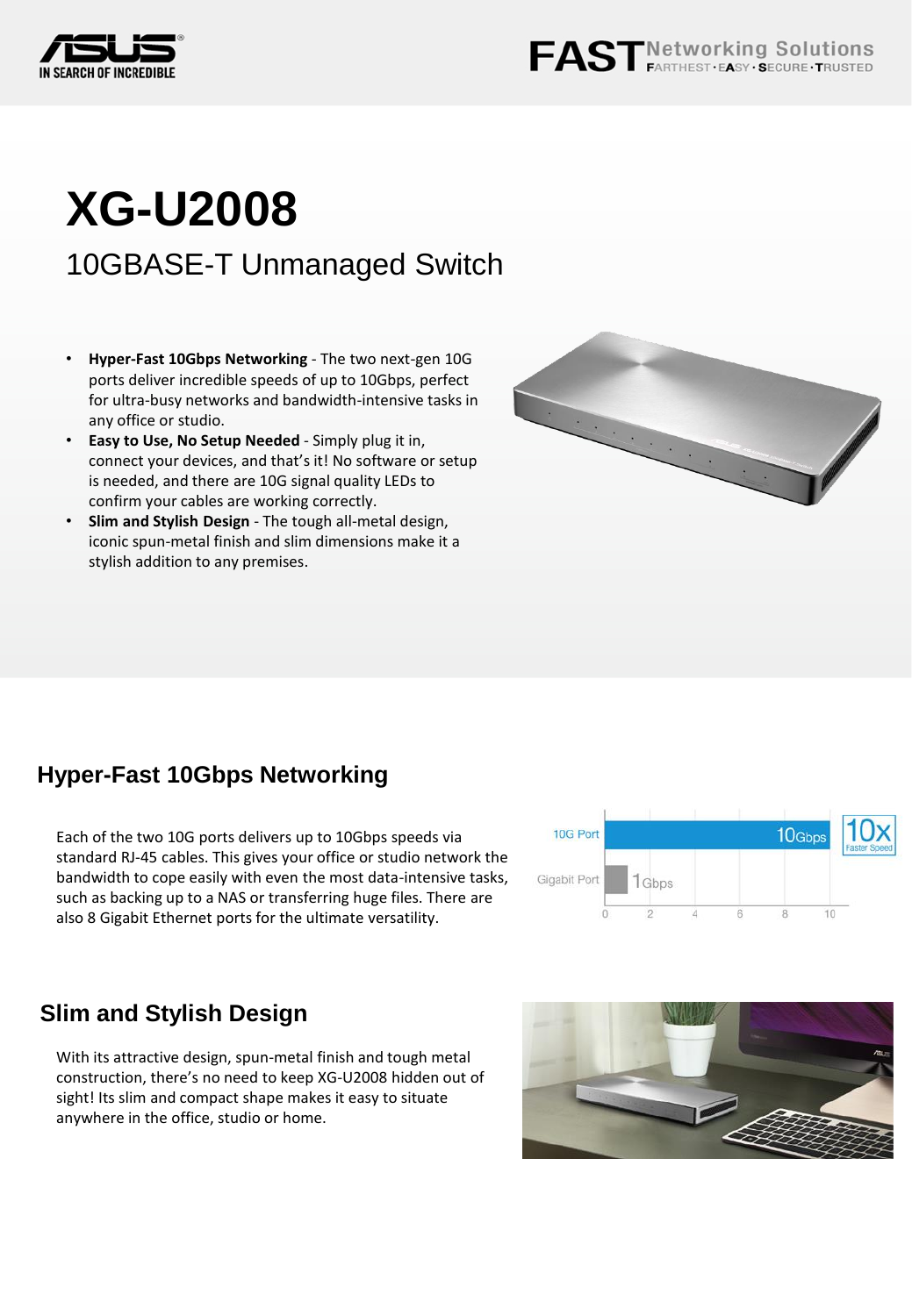

# **XG-U2008**

10GBASE-T Unmanaged Switch

- **Hyper-Fast 10Gbps Networking** The two next-gen 10G ports deliver incredible speeds of up to 10Gbps, perfect for ultra-busy networks and bandwidth-intensive tasks in any office or studio.
- **Easy to Use, No Setup Needed** Simply plug it in, connect your devices, and that's it! No software or setup is needed, and there are 10G signal quality LEDs to confirm your cables are working correctly.
- **Slim and Stylish Design**  The tough all-metal design, iconic spun-metal finish and slim dimensions make it a stylish addition to any premises.



## **Hyper-Fast 10Gbps Networking**

Each of the two 10G ports delivers up to 10Gbps speeds via standard RJ-45 cables. This gives your office or studio network the bandwidth to cope easily with even the most data-intensive tasks, such as backing up to a NAS or transferring huge files. There are also 8 Gigabit Ethernet ports for the ultimate versatility.



## **Slim and Stylish Design**

With its attractive design, spun-metal finish and tough metal construction, there's no need to keep XG-U2008 hidden out of sight! Its slim and compact shape makes it easy to situate anywhere in the office, studio or home.